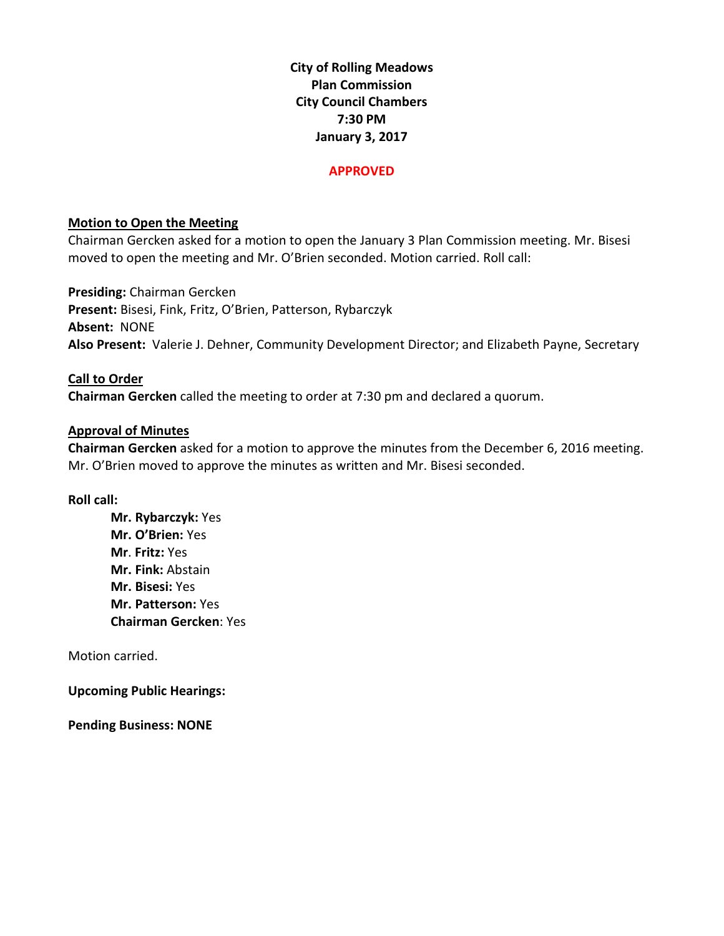**City of Rolling Meadows Plan Commission City Council Chambers 7:30 PM January 3, 2017**

### **APPROVED**

### **Motion to Open the Meeting**

Chairman Gercken asked for a motion to open the January 3 Plan Commission meeting. Mr. Bisesi moved to open the meeting and Mr. O'Brien seconded. Motion carried. Roll call:

**Presiding:** Chairman Gercken **Present:** Bisesi, Fink, Fritz, O'Brien, Patterson, Rybarczyk **Absent:** NONE **Also Present:** Valerie J. Dehner, Community Development Director; and Elizabeth Payne, Secretary

### **Call to Order Chairman Gercken** called the meeting to order at 7:30 pm and declared a quorum.

### **Approval of Minutes**

**Chairman Gercken** asked for a motion to approve the minutes from the December 6, 2016 meeting. Mr. O'Brien moved to approve the minutes as written and Mr. Bisesi seconded.

#### **Roll call:**

**Mr. Rybarczyk:** Yes **Mr. O'Brien:** Yes **Mr**. **Fritz:** Yes **Mr. Fink:** Abstain **Mr. Bisesi:** Yes **Mr. Patterson:** Yes **Chairman Gercken**: Yes

Motion carried.

**Upcoming Public Hearings:**

**Pending Business: NONE**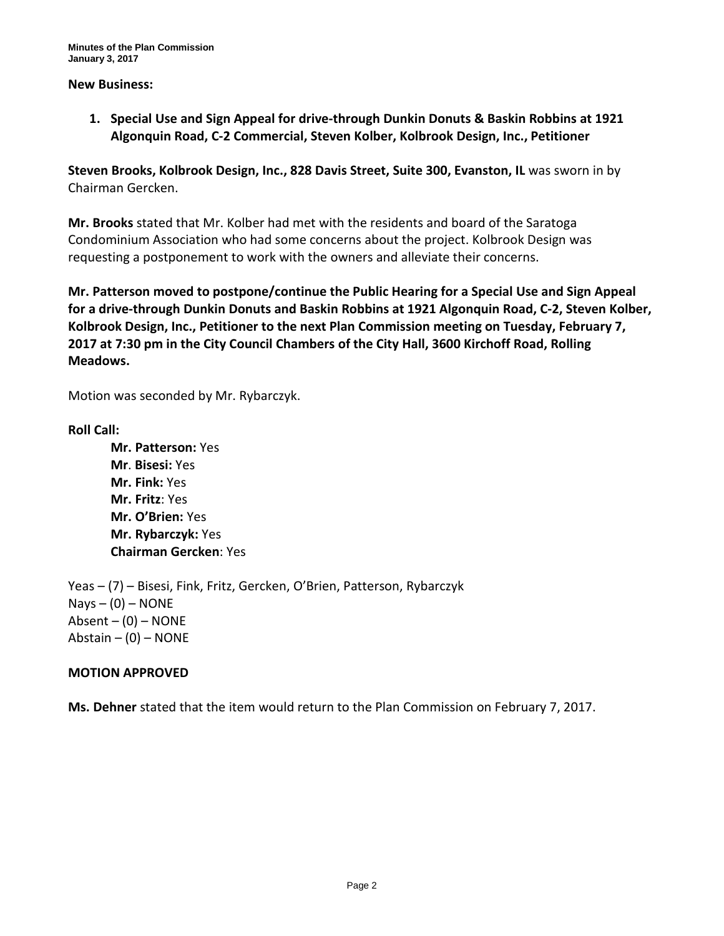### **New Business:**

**1. Special Use and Sign Appeal for drive-through Dunkin Donuts & Baskin Robbins at 1921 Algonquin Road, C-2 Commercial, Steven Kolber, Kolbrook Design, Inc., Petitioner**

**Steven Brooks, Kolbrook Design, Inc., 828 Davis Street, Suite 300, Evanston, IL** was sworn in by Chairman Gercken.

**Mr. Brooks** stated that Mr. Kolber had met with the residents and board of the Saratoga Condominium Association who had some concerns about the project. Kolbrook Design was requesting a postponement to work with the owners and alleviate their concerns.

**Mr. Patterson moved to postpone/continue the Public Hearing for a Special Use and Sign Appeal for a drive-through Dunkin Donuts and Baskin Robbins at 1921 Algonquin Road, C-2, Steven Kolber, Kolbrook Design, Inc., Petitioner to the next Plan Commission meeting on Tuesday, February 7, 2017 at 7:30 pm in the City Council Chambers of the City Hall, 3600 Kirchoff Road, Rolling Meadows.**

Motion was seconded by Mr. Rybarczyk.

### **Roll Call:**

**Mr. Patterson:** Yes **Mr**. **Bisesi:** Yes **Mr. Fink:** Yes **Mr. Fritz**: Yes **Mr. O'Brien:** Yes **Mr. Rybarczyk:** Yes **Chairman Gercken**: Yes

Yeas – (7) – Bisesi, Fink, Fritz, Gercken, O'Brien, Patterson, Rybarczyk  $Nays - (0) - NONE$ Absent  $-$  (0)  $-$  NONE Abstain  $-$  (0)  $-$  NONE

### **MOTION APPROVED**

**Ms. Dehner** stated that the item would return to the Plan Commission on February 7, 2017.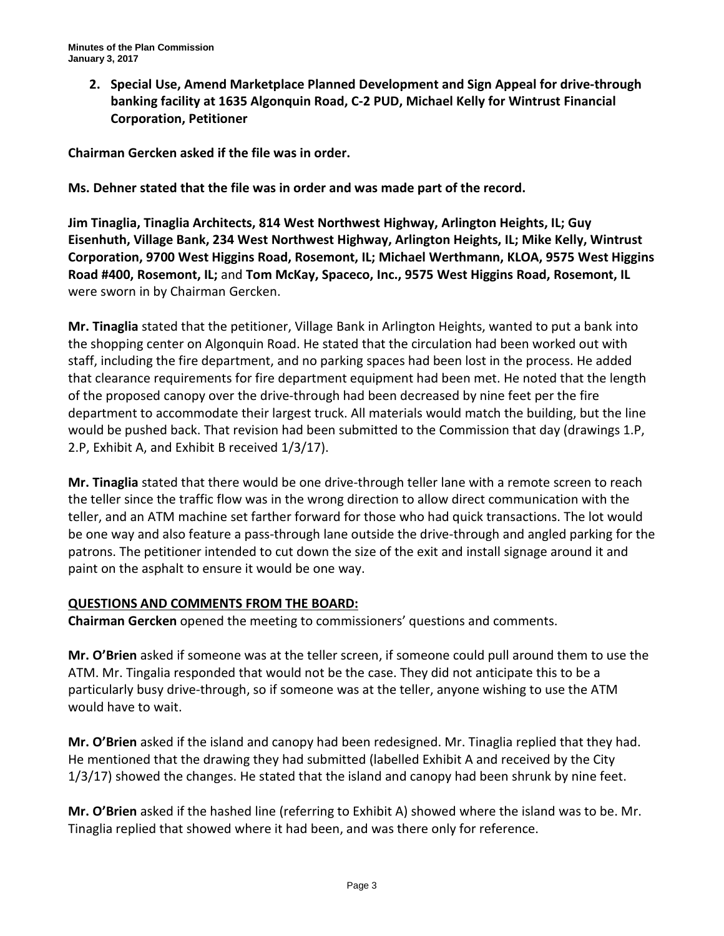**2. Special Use, Amend Marketplace Planned Development and Sign Appeal for drive-through banking facility at 1635 Algonquin Road, C-2 PUD, Michael Kelly for Wintrust Financial Corporation, Petitioner**

**Chairman Gercken asked if the file was in order.**

## **Ms. Dehner stated that the file was in order and was made part of the record.**

**Jim Tinaglia, Tinaglia Architects, 814 West Northwest Highway, Arlington Heights, IL; Guy Eisenhuth, Village Bank, 234 West Northwest Highway, Arlington Heights, IL; Mike Kelly, Wintrust Corporation, 9700 West Higgins Road, Rosemont, IL; Michael Werthmann, KLOA, 9575 West Higgins Road #400, Rosemont, IL;** and **Tom McKay, Spaceco, Inc., 9575 West Higgins Road, Rosemont, IL** were sworn in by Chairman Gercken.

**Mr. Tinaglia** stated that the petitioner, Village Bank in Arlington Heights, wanted to put a bank into the shopping center on Algonquin Road. He stated that the circulation had been worked out with staff, including the fire department, and no parking spaces had been lost in the process. He added that clearance requirements for fire department equipment had been met. He noted that the length of the proposed canopy over the drive-through had been decreased by nine feet per the fire department to accommodate their largest truck. All materials would match the building, but the line would be pushed back. That revision had been submitted to the Commission that day (drawings 1.P, 2.P, Exhibit A, and Exhibit B received 1/3/17).

**Mr. Tinaglia** stated that there would be one drive-through teller lane with a remote screen to reach the teller since the traffic flow was in the wrong direction to allow direct communication with the teller, and an ATM machine set farther forward for those who had quick transactions. The lot would be one way and also feature a pass-through lane outside the drive-through and angled parking for the patrons. The petitioner intended to cut down the size of the exit and install signage around it and paint on the asphalt to ensure it would be one way.

# **QUESTIONS AND COMMENTS FROM THE BOARD:**

**Chairman Gercken** opened the meeting to commissioners' questions and comments.

**Mr. O'Brien** asked if someone was at the teller screen, if someone could pull around them to use the ATM. Mr. Tingalia responded that would not be the case. They did not anticipate this to be a particularly busy drive-through, so if someone was at the teller, anyone wishing to use the ATM would have to wait.

**Mr. O'Brien** asked if the island and canopy had been redesigned. Mr. Tinaglia replied that they had. He mentioned that the drawing they had submitted (labelled Exhibit A and received by the City 1/3/17) showed the changes. He stated that the island and canopy had been shrunk by nine feet.

**Mr. O'Brien** asked if the hashed line (referring to Exhibit A) showed where the island was to be. Mr. Tinaglia replied that showed where it had been, and was there only for reference.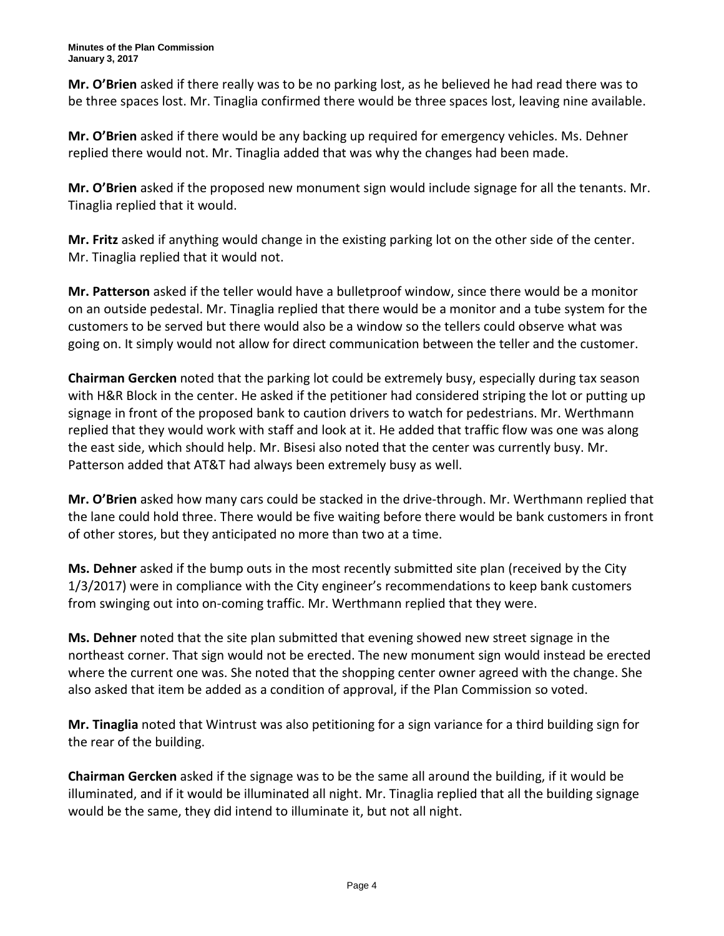**Mr. O'Brien** asked if there really was to be no parking lost, as he believed he had read there was to be three spaces lost. Mr. Tinaglia confirmed there would be three spaces lost, leaving nine available.

**Mr. O'Brien** asked if there would be any backing up required for emergency vehicles. Ms. Dehner replied there would not. Mr. Tinaglia added that was why the changes had been made.

**Mr. O'Brien** asked if the proposed new monument sign would include signage for all the tenants. Mr. Tinaglia replied that it would.

**Mr. Fritz** asked if anything would change in the existing parking lot on the other side of the center. Mr. Tinaglia replied that it would not.

**Mr. Patterson** asked if the teller would have a bulletproof window, since there would be a monitor on an outside pedestal. Mr. Tinaglia replied that there would be a monitor and a tube system for the customers to be served but there would also be a window so the tellers could observe what was going on. It simply would not allow for direct communication between the teller and the customer.

**Chairman Gercken** noted that the parking lot could be extremely busy, especially during tax season with H&R Block in the center. He asked if the petitioner had considered striping the lot or putting up signage in front of the proposed bank to caution drivers to watch for pedestrians. Mr. Werthmann replied that they would work with staff and look at it. He added that traffic flow was one was along the east side, which should help. Mr. Bisesi also noted that the center was currently busy. Mr. Patterson added that AT&T had always been extremely busy as well.

**Mr. O'Brien** asked how many cars could be stacked in the drive-through. Mr. Werthmann replied that the lane could hold three. There would be five waiting before there would be bank customers in front of other stores, but they anticipated no more than two at a time.

**Ms. Dehner** asked if the bump outs in the most recently submitted site plan (received by the City 1/3/2017) were in compliance with the City engineer's recommendations to keep bank customers from swinging out into on-coming traffic. Mr. Werthmann replied that they were.

**Ms. Dehner** noted that the site plan submitted that evening showed new street signage in the northeast corner. That sign would not be erected. The new monument sign would instead be erected where the current one was. She noted that the shopping center owner agreed with the change. She also asked that item be added as a condition of approval, if the Plan Commission so voted.

**Mr. Tinaglia** noted that Wintrust was also petitioning for a sign variance for a third building sign for the rear of the building.

**Chairman Gercken** asked if the signage was to be the same all around the building, if it would be illuminated, and if it would be illuminated all night. Mr. Tinaglia replied that all the building signage would be the same, they did intend to illuminate it, but not all night.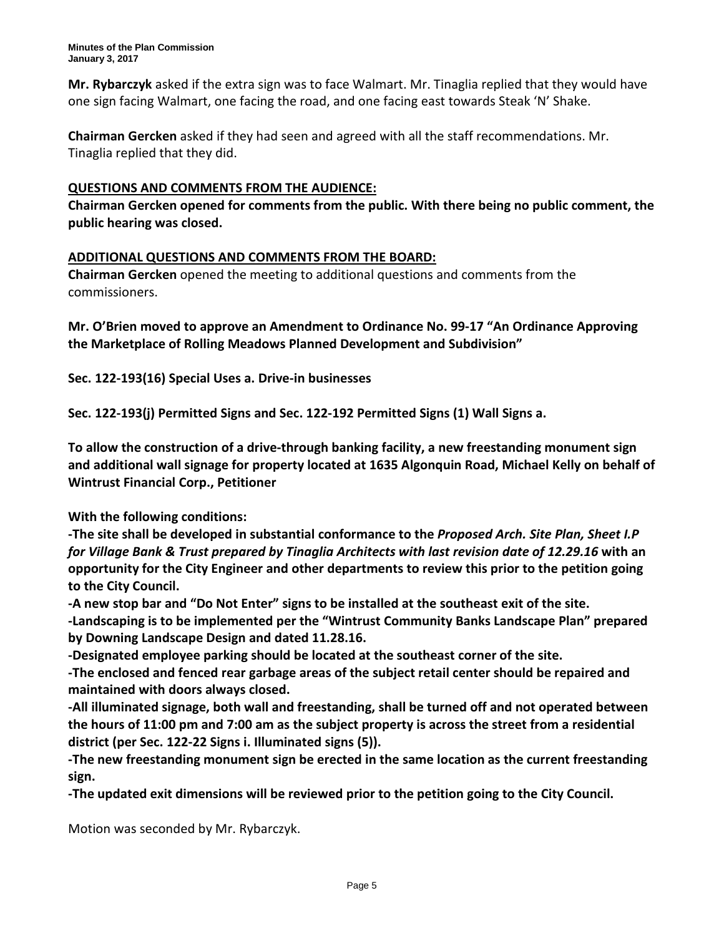**Mr. Rybarczyk** asked if the extra sign was to face Walmart. Mr. Tinaglia replied that they would have one sign facing Walmart, one facing the road, and one facing east towards Steak 'N' Shake.

**Chairman Gercken** asked if they had seen and agreed with all the staff recommendations. Mr. Tinaglia replied that they did.

# **QUESTIONS AND COMMENTS FROM THE AUDIENCE:**

**Chairman Gercken opened for comments from the public. With there being no public comment, the public hearing was closed.**

# **ADDITIONAL QUESTIONS AND COMMENTS FROM THE BOARD:**

**Chairman Gercken** opened the meeting to additional questions and comments from the commissioners.

**Mr. O'Brien moved to approve an Amendment to Ordinance No. 99-17 "An Ordinance Approving the Marketplace of Rolling Meadows Planned Development and Subdivision"**

**Sec. 122-193(16) Special Uses a. Drive-in businesses**

**Sec. 122-193(j) Permitted Signs and Sec. 122-192 Permitted Signs (1) Wall Signs a.**

**To allow the construction of a drive-through banking facility, a new freestanding monument sign and additional wall signage for property located at 1635 Algonquin Road, Michael Kelly on behalf of Wintrust Financial Corp., Petitioner**

**With the following conditions:**

**-The site shall be developed in substantial conformance to the** *Proposed Arch. Site Plan, Sheet I.P for Village Bank & Trust prepared by Tinaglia Architects with last revision date of 12.29.16* **with an opportunity for the City Engineer and other departments to review this prior to the petition going to the City Council.**

**-A new stop bar and "Do Not Enter" signs to be installed at the southeast exit of the site.**

**-Landscaping is to be implemented per the "Wintrust Community Banks Landscape Plan" prepared by Downing Landscape Design and dated 11.28.16.**

**-Designated employee parking should be located at the southeast corner of the site.**

**-The enclosed and fenced rear garbage areas of the subject retail center should be repaired and maintained with doors always closed.**

**-All illuminated signage, both wall and freestanding, shall be turned off and not operated between the hours of 11:00 pm and 7:00 am as the subject property is across the street from a residential district (per Sec. 122-22 Signs i. Illuminated signs (5)).**

**-The new freestanding monument sign be erected in the same location as the current freestanding sign.**

**-The updated exit dimensions will be reviewed prior to the petition going to the City Council.**

Motion was seconded by Mr. Rybarczyk.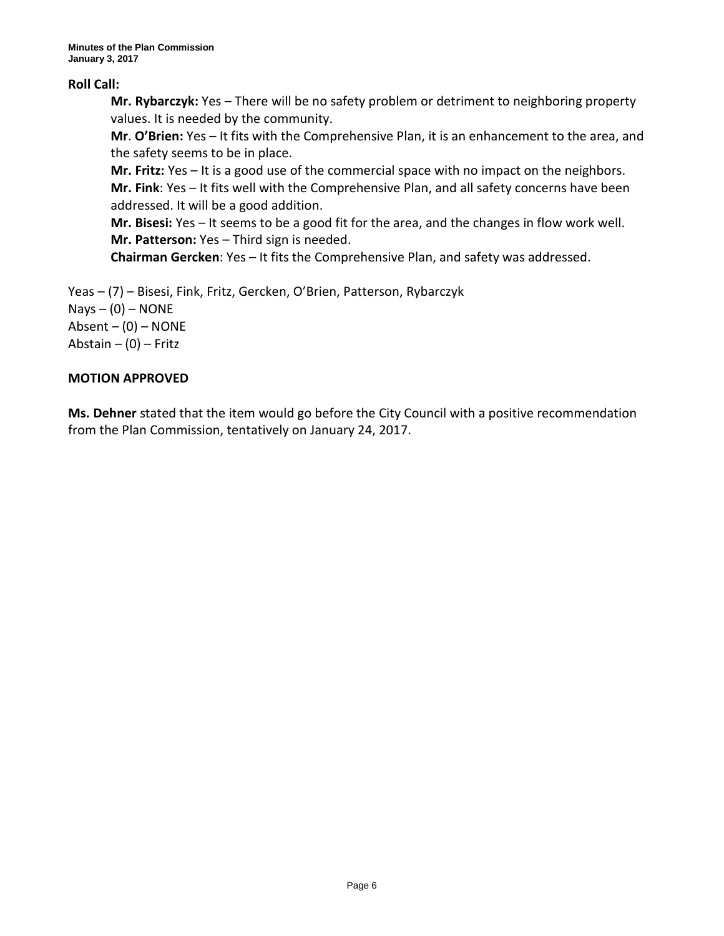## **Roll Call:**

**Mr. Rybarczyk:** Yes – There will be no safety problem or detriment to neighboring property values. It is needed by the community.

**Mr**. **O'Brien:** Yes – It fits with the Comprehensive Plan, it is an enhancement to the area, and the safety seems to be in place.

**Mr. Fritz:** Yes – It is a good use of the commercial space with no impact on the neighbors. **Mr. Fink**: Yes – It fits well with the Comprehensive Plan, and all safety concerns have been addressed. It will be a good addition.

**Mr. Bisesi:** Yes – It seems to be a good fit for the area, and the changes in flow work well. **Mr. Patterson:** Yes – Third sign is needed.

**Chairman Gercken**: Yes – It fits the Comprehensive Plan, and safety was addressed.

Yeas – (7) – Bisesi, Fink, Fritz, Gercken, O'Brien, Patterson, Rybarczyk  $Nays - (0) - NONE$ Absent  $-$  (0)  $-$  NONE Abstain  $-$  (0)  $-$  Fritz

### **MOTION APPROVED**

**Ms. Dehner** stated that the item would go before the City Council with a positive recommendation from the Plan Commission, tentatively on January 24, 2017.